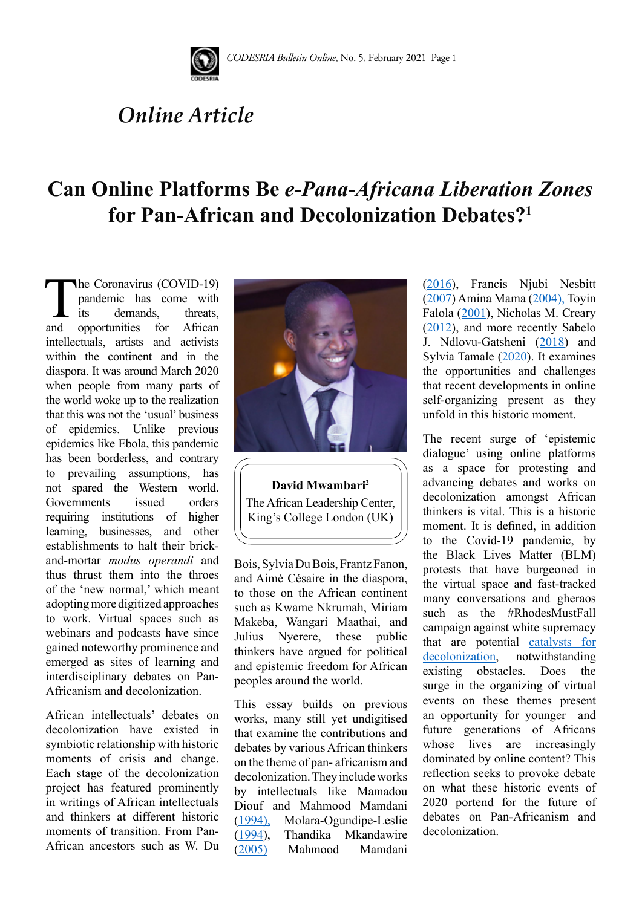

# *Online Article*

# **Can Online Platforms Be** *e-Pana-Africana Liberation Zones* **for Pan-African and Decolonization Debates?1**

The Coronavirus (COVID-19)<br>pandemic has come with<br>its demands, threats,<br>and opportunities for African pandemic has come with demands. opportunities intellectuals, artists and activists within the continent and in the diaspora. It was around March 2020 when people from many parts of the world woke up to the realization that this was not the 'usual' business of epidemics. Unlike previous epidemics like Ebola, this pandemic has been borderless, and contrary to prevailing assumptions, has not spared the Western world. Governments issued orders requiring institutions of higher learning, businesses, and other establishments to halt their brickand-mortar *modus operandi* and thus thrust them into the throes of the 'new normal,' which meant adopting more digitized approaches to work. Virtual spaces such as webinars and podcasts have since gained noteworthy prominence and emerged as sites of learning and interdisciplinary debates on Pan-Africanism and decolonization.

African intellectuals' debates on decolonization have existed in symbiotic relationship with historic moments of crisis and change. Each stage of the decolonization project has featured prominently in writings of African intellectuals and thinkers at different historic moments of transition. From Pan-African ancestors such as W. Du



**David Mwambari2** The African Leadership Center, King's College London (UK)

Bois, Sylvia Du Bois, Frantz Fanon, and Aimé Césaire in the diaspora, to those on the African continent such as Kwame Nkrumah, Miriam Makeba, Wangari Maathai, and Julius Nyerere, these public thinkers have argued for political and epistemic freedom for African peoples around the world.

This essay builds on previous works, many still yet undigitised that examine the contributions and debates by various African thinkers on the theme of pan- africanism and decolonization. They include works by intellectuals like Mamadou Diouf and Mahmood Mamdani [\(1994\),](https://codesria.org/spip.php?article797&lang=fr) Molara-Ogundipe-Leslie [\(1994](https://www.amazon.com/Re-Creating-Ourselves-African-Critical-Transformations/dp/0865434123)), Thandika Mkandawire [\(2005](https://www.amazon.com/African-Intellectuals-Rethinking-Development-Millennium/dp/1842776215)) Mahmood Mamdani ([2016\)](https://www.tandfonline.com/doi/abs/10.1080/14649373.2016.1140260), Francis Njubi Nesbitt ([2007\)](https://www.tandfonline.com/doi/abs/10.1080/02560240385310031) Amina Mama [\(2004\),](http://static1.1.sqspcdn.com/static/f/1215623/16204786/1327406481393/08Mama_PrinceClausInaugural_.pdf?token=gXX%2BjAt5GUomUgva%2BtgsYCqh36E%3D) Toyin Falola ([2001\)](https://books.google.be/books?hl=en&lr=&id=CPcncBzDO_oC&oi=fnd&pg=PR13&dq=Nationalism+and+African+Intellectuals&ots=WX5MUF9SwP&sig=gH-x-P62vPN6f-ExECiSYbpg6zI&redir_esc=y#v=onepage&q=Nationalism and African Intellectuals&f=false), Nicholas M. Creary ([2012\)](https://www.jstor.org/stable/j.ctt1j7x759), and more recently Sabelo J. Ndlovu-Gatsheni [\(2018](https://academic.oup.com/ia/article-abstract/96/5/1423/5901377)) and Sylvia Tamale ([2020\)](https://darajapress.com/publication/decolonziation_and_afro-feminism). It examines the opportunities and challenges that recent developments in online self-organizing present as they unfold in this historic moment.

The recent surge of 'epistemic dialogue' using online platforms as a space for protesting and advancing debates and works on decolonization amongst African thinkers is vital. This is a historic moment. It is defined, in addition to the Covid-19 pandemic, by the Black Lives Matter (BLM) protests that have burgeoned in the virtual space and fast-tracked many conversations and gheraos such as the #RhodesMustFall campaign against white supremacy that are potential [catalysts for](https://www.aljazeera.com/opinions/2020/4/15/the-pandemic-can-be-a-catalyst-for-decolonisation-in-africa/)  [decolonization,](https://www.aljazeera.com/opinions/2020/4/15/the-pandemic-can-be-a-catalyst-for-decolonisation-in-africa/) notwithstanding existing obstacles. Does the surge in the organizing of virtual events on these themes present an opportunity for younger and future generations of Africans whose lives are increasingly dominated by online content? This reflection seeks to provoke debate on what these historic events of 2020 portend for the future of debates on Pan-Africanism and decolonization.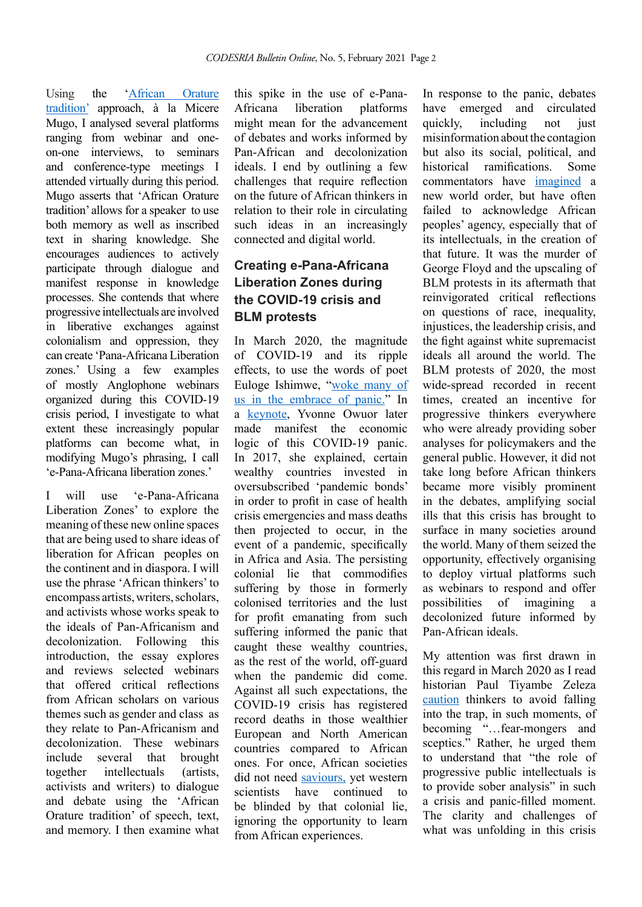Using the ['African Orature](https://africainwords.com/2012/05/01/professor-micere-githae-mugo-public-lecture-at-the-university-of-nairobi/) [tradition'](https://africainwords.com/2012/05/01/professor-micere-githae-mugo-public-lecture-at-the-university-of-nairobi/) approach, à la Micere Mugo, I analysed several platforms ranging from webinar and oneon-one interviews, to seminars and conference-type meetings I attended virtually during this period. Mugo asserts that 'African Orature tradition' allows for a speaker to use both memory as well as inscribed text in sharing knowledge. She encourages audiences to actively participate through dialogue and manifest response in knowledge processes. She contends that where progressive intellectuals are involved in liberative exchanges against colonialism and oppression, they can create 'Pana-Africana Liberation zones.' Using a few examples of mostly Anglophone webinars organized during this COVID-19 crisis period, I investigate to what extent these increasingly popular platforms can become what, in modifying Mugo's phrasing, I call 'e-Pana-Africana liberation zones.'

I will use 'e-Pana-Africana Liberation Zones' to explore the meaning of these new online spaces that are being used to share ideas of liberation for African peoples on the continent and in diaspora. I will use the phrase 'African thinkers' to encompass artists, writers, scholars, and activists whose works speak to the ideals of Pan-Africanism and decolonization. Following this introduction, the essay explores and reviews selected webinars that offered critical reflections from African scholars on various themes such as gender and class as they relate to Pan-Africanism and decolonization. These webinars include several that brought together intellectuals (artists, activists and writers) to dialogue and debate using the 'African Orature tradition' of speech, text, and memory. I then examine what

this spike in the use of e-Pana-Africana liberation platforms might mean for the advancement of debates and works informed by Pan-African and decolonization ideals. I end by outlining a few challenges that require reflection on the future of African thinkers in relation to their role in circulating such ideas in an increasingly connected and digital world.

## **Creating e-Pana-Africana Liberation Zones during the COVID-19 crisis and BLM protests**

In March 2020, the magnitude of COVID-19 and its ripple effects, to use the words of poet Euloge Ishimwe, "[woke many of](https://www.poemhunter.com/poem/laws-of-resilience/)  [us in the embrace of panic](https://www.poemhunter.com/poem/laws-of-resilience/)." In a [keynote](https://codesria.org/IMG/pdf/10-_y_owuor_codbul_online_1_.pdf), Yvonne Owuor later made manifest the economic logic of this COVID-19 panic. In 2017, she explained, certain wealthy countries invested in oversubscribed 'pandemic bonds' in order to profit in case of health crisis emergencies and mass deaths then projected to occur, in the event of a pandemic, specifically in Africa and Asia. The persisting colonial lie that commodifies suffering by those in formerly colonised territories and the lust for profit emanating from such suffering informed the panic that caught these wealthy countries, as the rest of the world, off-guard when the pandemic did come. Against all such expectations, the COVID-19 crisis has registered record deaths in those wealthier European and North American countries compared to African ones. For once, African societies did not need [saviours,](https://www.aljazeera.com/opinions/2020/4/13/africa-does-not-need-saving-during-this-pandemic/) yet western scientists have continued to be blinded by that colonial lie, ignoring the opportunity to learn from African experiences.

In response to the panic, debates have emerged and circulated quickly, including not just misinformation about the contagion but also its social, political, and historical ramifications Some commentators have [imagined](https://www.aljazeera.com/opinions/2020/4/19/what-would-and-should-a-post-pandemic-world-look-like/) a new world order, but have often failed to acknowledge African peoples' agency, especially that of its intellectuals, in the creation of that future. It was the murder of George Floyd and the upscaling of BLM protests in its aftermath that reinvigorated critical reflections on questions of race, inequality, injustices, the leadership crisis, and the fight against white supremacist ideals all around the world. The BLM protests of 2020, the most wide-spread recorded in recent times, created an incentive for progressive thinkers everywhere who were already providing sober analyses for policymakers and the general public. However, it did not take long before African thinkers became more visibly prominent in the debates, amplifying social ills that this crisis has brought to surface in many societies around the world. Many of them seized the opportunity, effectively organising to deploy virtual platforms such as webinars to respond and offer possibilities of imagining a decolonized future informed by Pan-African ideals.

My attention was first drawn in this regard in March 2020 as I read historian Paul Tiyambe Zeleza [caution](https://www.theelephant.info/long-reads/2020/03/25/the-coronavirus-the-political-economy-of-a-pathogen/) thinkers to avoid falling into the trap, in such moments, of becoming "...fear-mongers and sceptics." Rather, he urged them to understand that "the role of progressive public intellectuals is to provide sober analysis" in such a crisis and panic-filled moment. The clarity and challenges of what was unfolding in this crisis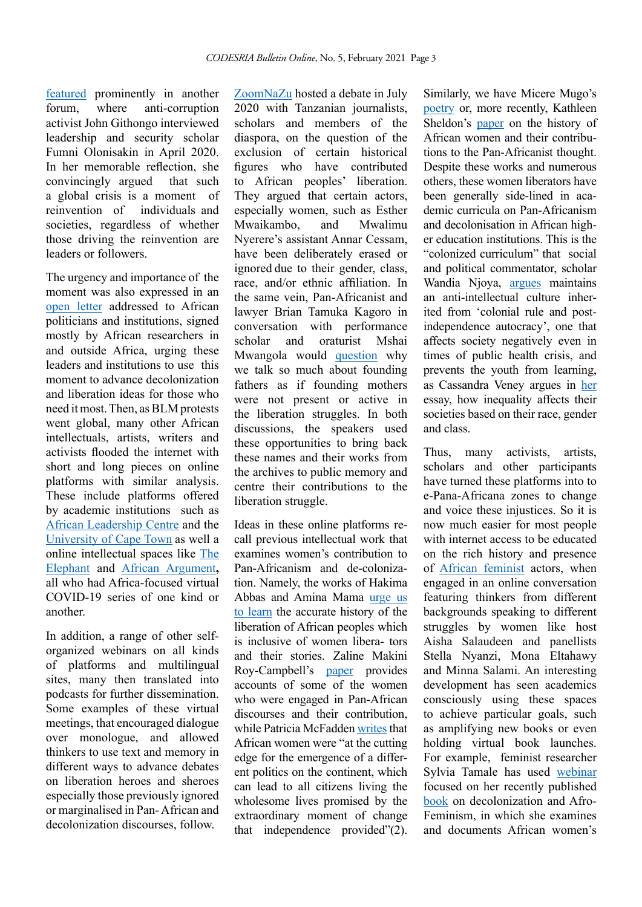[featured](https://www.theelephant.info/videos/2020/04/25/prof-funmi-the-covid-19-pandemic-will-make-leaders-and-break-others-in-africa/) prominently in another forum, where anti-corruption activist John Githongo interviewed leadership and security scholar Fumni Olonisakin in April 2020. In her memorable reflection, she convincingly argued that such a global crisis is a moment of reinvention of individuals and societies, regardless of whether those driving the reinvention are leaders or followers.

The urgency and importance of the moment was also expressed in an [open letter](https://www.aljazeera.com/features/2020/4/17/open-letter-from-african-intellectuals-to-leaders-over-covid-19) addressed to African politicians and institutions, signed mostly by African researchers in and outside Africa, urging these leaders and institutions to use this moment to advance decolonization and liberation ideas for those who need it most. Then, as BLM protests went global, many other African intellectuals, artists, writers and activists flooded the internet with short and long pieces on online platforms with similar analysis. These include platforms offered by academic institutions such as [African Leadership Centre](https://www.africanleadershipcentre.org/index.php/covid-19-research) and the [University of Cape Town](https://www.coronatimes.net/) as well a online intellectual spaces like T[he](https://www.theelephant.info/mapping-the-coronavirus-pandemic-in-africa/) [Elephant](https://www.theelephant.info/mapping-the-coronavirus-pandemic-in-africa/) and African Argument**,** all who had Africa-focused virtual COVID-19 series of one kind or another.

In addition, a range of other selforganized webinars on all kinds of platforms and multilingual sites, many then translated into podcasts for further dissemination. Some examples of these virtual meetings, that encouraged dialogue over monologue, and allowed thinkers to use text and memory in different ways to advance debates on liberation heroes and sheroes especially those previously ignored or marginalised in Pan- African and decolonization discourses, follow

[ZoomNaZu](https://www.youtube.com/watch?v=7xsdbdKpycU) hosted a debate in July 2020 with Tanzanian journalists, scholars and members of the diaspora, on the question of the exclusion of certain historical figures who have contributed to African peoples' liberation. They argued that certain actors, especially women, such as Esther Mwaikambo, and Mwalimu Nyerere's assistant Annar Cessam, have been deliberately erased or ignored due to their gender, class, race, and/or ethnic affiliation. In the same vein, Pan-Africanist and lawyer Brian Tamuka Kagoro in conversation with performance scholar and oraturist Mshai Mwangola would [question](https://www.youtube.com/watch?v=8kvHQycfr7M) why we talk so much about founding fathers as if founding mothers were not present or active in the liberation struggles. In both discussions, the speakers used these opportunities to bring back these names and their works from the archives to public memory and centre their contributions to the liberation struggle.

Ideas in these online platforms recall previous intellectual work that examines women's contribution to Pan-Africanism and de-colonization. Namely, the works of Hakima Abbas and Amina Mama [urge us](http://www.agi.ac.za/sites/default/files/image_tool/images/429/feminist_africa_journals/archive/02/fa_19_web.pdf#page=9)  [to learn](http://www.agi.ac.za/sites/default/files/image_tool/images/429/feminist_africa_journals/archive/02/fa_19_web.pdf#page=9) the accurate history of the liberation of African peoples which is inclusive of women libera- tors and their stories. Zaline Makini Roy-Campbell's [paper](https://www.jstor.org/stable/23489743?seq=1#metadata_info_tab_contents) provides accounts of some of the women who were engaged in Pan-African discourses and their contribution, while Patricia McFadden [writ](https://read.dukeupress.edu/meridians/article-abstract/6/1/1/138235)es that African women were "at the cutting edge for the emergence of a different politics on the continent, which can lead to all citizens living the wholesome lives promised by the extraordinary moment of change that independence provided"(2).

Similarly, we have Micere Mugo's [poetry](https://www.amazon.com/Mothers-Other-Songs-Songs-Poems/dp/9966464999) or, more recently, Kathleen Sheldon's [paper](https://iupress.org/9780253027221/african-women/) on the history of African women and their contributions to the Pan-Africanist thought. Despite these works and numerous others, these women liberators have been generally side-lined in academic curricula on Pan-Africanism and decolonisation in African higher education institutions. This is the "colonized curriculum" that social and political commentator, scholar Wandia Njoya, argues maintains an anti-intellectual culture inherited from 'colonial rule and postindependence autocracy', one that affects society negatively even in times of public health crisis, and prevents the youth from learning, as Cassandra Veney argues in [her](https://www.theelephant.info/reflections/2020/06/26/the-construction-of-race-being-african-american-and-teaching-the-history-of-george-floyd-in-kenya/) essay, how inequality affects their societies based on their race, gender and class.

Thus, many activists, artists, scholars and other participants have turned these platforms into to e-Pana-Africana zones to change and voice these injustices. So it is now much easier for most people with internet access to be educated on the rich history and presence of [African feminist](https://www.youtube.com/watch?v=wYNdwR2JQMo) actors, when engaged in an online conversation featuring thinkers from different backgrounds speaking to different struggles by women like host Aisha Salaudeen and panellists Stella Nyanzi, Mona Eltahawy and Minna Salami. An interesting development has seen academics consciously using these spaces to achieve particular goals, such as amplifying new books or even holding virtual book launches. For example, feminist researcher Sylvia Tamale has used [webinar](https://www.youtube.com/watch?v=uaxz_zZBekE) focused on her recently published [book](https://darajapress.com/publication/decolonziation_and_afro-feminism) on decolonization and Afro-Feminism, in which she examines and documents African women's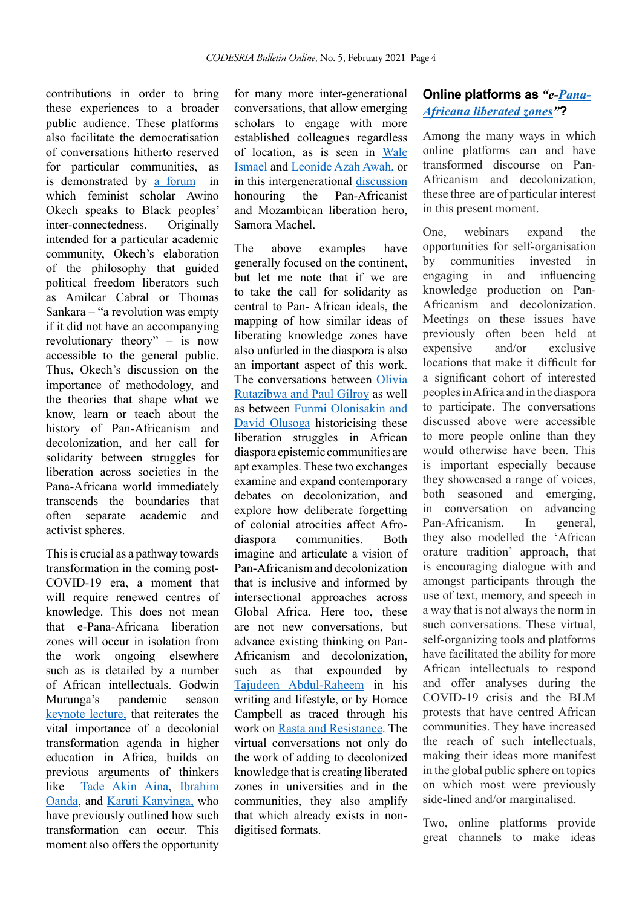contributions in order to bring these experiences to a broader public audience. These platforms also facilitate the democratisation of conversations hitherto reserved for particular communities as is demonstrated by [a forum](https://www.youtube.com/watch?v=UknvBkiAs08) in which feminist scholar Awino Okech speaks to Black peoples' inter-connectedness. Originally intended for a particular academic community, Okech's elaboration of the philosophy that guided political freedom liberators such as Amilcar Cabral or Thomas Sankara – "a revolution was empty if it did not have an accompanying revolutionary theory" – is now accessible to the general public. Thus, Okech's discussion on the importance of methodology, and the theories that shape what we know, learn or teach about the history of Pan-Africanism and decolonization, and her call for solidarity between struggles for liberation across societies in the Pana-Africana world immediately transcends the boundaries that often separate academic and activist spheres.

This is crucial as a pathway towards transformation in the coming post-COVID-19 era, a moment that will require renewed centres of knowledge. This does not mean that e-Pana-Africana liberation zones will occur in isolation from the work ongoing elsewhere such as is detailed by a number of African intellectuals. Godwin Murunga's pandemic season [keynote lecture](https://www.youtube.com/watch?v=AsVbjjlU-JY), that reiterates the vital importance of a decolonial transformation agenda in higher education in Africa, builds on previous arguments of thinkers like [Tade Akin Aina](https://www.cambridge.org/core/journals/african-studies-review/article/beyond-reforms-the-politics-of-higher-education-transformation-in-africa/E5FC6F008C6CF3578A3BC7CC41D8E97A), [Ibrahim](https://www.jstor.org/stable/43661439?seq=1#metadata_info_tab_contents) [Oanda,](https://www.jstor.org/stable/43661439?seq=1#metadata_info_tab_contents) and [Karuti Kanyinga,](https://www.theelephant.info/op-eds/2020/05/07/remembering-thandika-africas-foremost-social-scientist/) who have previously outlined how such transformation can occur. This moment also offers the opportunity

for many more inter-generational conversations, that allow emerging scholars to engage with more established colleagues regardless of location, as is seen in [Wale](https://www.africanleadershipcentre.org/index.php/covid-19-research/635-analogue-education-digital-generation-covid-19-and-the-future-of-higher-education-in-africa)  [Ismael](https://www.africanleadershipcentre.org/index.php/covid-19-research/635-analogue-education-digital-generation-covid-19-and-the-future-of-higher-education-in-africa) and [Leonide Azah Awah,](https://www.africanleadershipcentre.org/index.php/covid-19-research/667-covid-19-digitization-and-higher-education-reform-in-africa) or in this intergenerational [discussion](http://www.udadisi.org/2020/10/watch-recorded-video-inaugural-samora.html) honouring the Pan-Africanist and Mozambican liberation hero, Samora Machel.

The above examples have generally focused on the continent, but let me note that if we are to take the call for solidarity as central to Pan- African ideals, the mapping of how similar ideas of liberating knowledge zones have also unfurled in the diaspora is also an important aspect of this work. The conversations between [Olivia](https://www.ucl.ac.uk/racism-racialisation/publications/2020/oct/conversation-olivia-u-rutazibwa)  [Rutazibwa and Paul Gilroy](https://www.ucl.ac.uk/racism-racialisation/publications/2020/oct/conversation-olivia-u-rutazibwa) as well as between [Funmi Olonisakin and](https://www.youtube.com/watch?v=QPvFaRUcE9s)  [David Olusoga](https://www.youtube.com/watch?v=QPvFaRUcE9s) historicising these liberation struggles in African diaspora epistemic communities are apt examples. These two exchanges examine and expand contemporary debates on decolonization, and explore how deliberate forgetting of colonial atrocities affect Afrodiaspora communities. Both imagine and articulate a vision of Pan-Africanism and decolonization that is inclusive and informed by intersectional approaches across Global Africa. Here too, these are not new conversations, but advance existing thinking on Pan-Africanism and decolonization, such as that expounded by [Tajudeen Abdul-Raheem](https://www.amazon.com/Speaking-Truth-Power-Pan-African-Postcards/dp/1906387850) in his writing and lifestyle, or by Horace Campbell as traced through his work on [Rasta and Resistance.](https://www.amazon.com/Rasta-Resistance-Horace-Campbell/dp/1906190003) The virtual conversations not only do the work of adding to decolonized knowledge that is creating liberated zones in universities and in the communities, they also amplify that which already exists in nondigitised formats.

### **Online platforms as** *"e[-Pana-](https://www.sahistory.org.za/archive/participation-women-african-litterature-pre-and-post-colonialism-life-micere-githae-mugo)[Africana liberated zone](https://www.sahistory.org.za/archive/participation-women-african-litterature-pre-and-post-colonialism-life-micere-githae-mugo)s"***?**

Among the many ways in which online platforms can and have transformed discourse on Pan-Africanism and decolonization, these three are of particular interest in this present moment.

One, webinars expand the opportunities for self-organisation by communities invested in engaging in and influencing knowledge production on Pan-Africanism and decolonization. Meetings on these issues have previously often been held at expensive and/or exclusive locations that make it difficult for a significant cohort of interested peoples in Africa and in the diaspora to participate. The conversations discussed above were accessible to more people online than they would otherwise have been. This is important especially because they showcased a range of voices, both seasoned and emerging, in conversation on advancing Pan-Africanism. In general, they also modelled the 'African orature tradition' approach, that is encouraging dialogue with and amongst participants through the use of text, memory, and speech in a way that is not always the norm in such conversations. These virtual, self-organizing tools and platforms have facilitated the ability for more African intellectuals to respond and offer analyses during the COVID-19 crisis and the BLM protests that have centred African communities. They have increased the reach of such intellectuals, making their ideas more manifest in the global public sphere on topics on which most were previously side-lined and/or marginalised.

Two, online platforms provide great channels to make ideas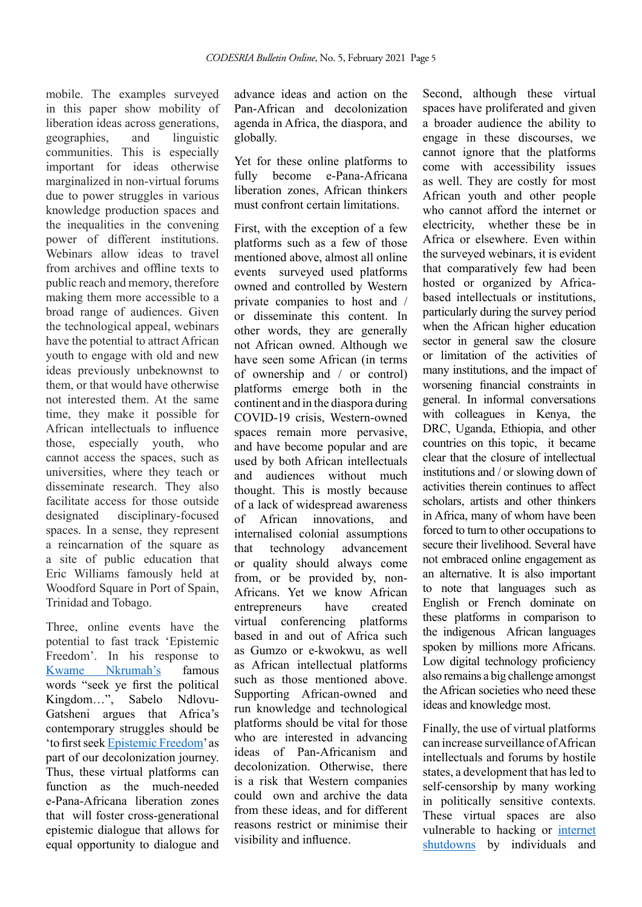mobile. The examples surveyed in this paper show mobility of liberation ideas across generations, geographies, and linguistic communities. This is especially important for ideas otherwise marginalized in non-virtual forums due to power struggles in various knowledge production spaces and the inequalities in the convening power of different institutions. Webinars allow ideas to travel from archives and offline texts to public reach and memory, therefore making them more accessible to a broad range of audiences. Given the technological appeal, webinars have the potential to attract African youth to engage with old and new ideas previously unbeknownst to them, or that would have otherwise not interested them. At the same time, they make it possible for African intellectuals to influence those, especially youth, who cannot access the spaces, such as universities, where they teach or disseminate research. They also facilitate access for those outside designated disciplinary-focused spaces. In a sense, they represent a reincarnation of the square as a site of public education that Eric Williams famously held at Woodford Square in Port of Spain, Trinidad and Tobago.

Three, online events have the potential to fast track 'Epistemic Freedom'. In his response to [Kwame Nkrumah'](https://en.wikiquote.org/wiki/Kwame_Nkrumah)s famous words "seek ye first the political Kingdom…", Sabelo Ndlovu-Gatsheni argues that Africa's contemporary struggles should be 'to first seek [Epistemic Freedom'](https://www.youtube.com/watch?v=_rbVP-DFcd8) as part of our decolonization journey. Thus, these virtual platforms can function as the much-needed e-Pana-Africana liberation zones that will foster cross-generational epistemic dialogue that allows for equal opportunity to dialogue and

advance ideas and action on the Pan-African and decolonization agenda in Africa, the diaspora, and globally.

Yet for these online platforms to fully become e-Pana-Africana liberation zones, African thinkers must confront certain limitations.

First, with the exception of a few platforms such as a few of those mentioned above, almost all online events surveyed used platforms owned and controlled by Western private companies to host and / or disseminate this content. In other words, they are generally not African owned. Although we have seen some African (in terms of ownership and / or control) platforms emerge both in the continent and in the diaspora during COVID-19 crisis, Western-owned spaces remain more pervasive. and have become popular and are used by both African intellectuals and audiences without much thought. This is mostly because of a lack of widespread awareness of African innovations, and internalised colonial assumptions that technology advancement or quality should always come from, or be provided by, non-Africans. Yet we know African entrepreneurs have created virtual conferencing platforms based in and out of Africa such as Gumzo or e-kwokwu, as well as African intellectual platforms such as those mentioned above Supporting African-owned and run knowledge and technological platforms should be vital for those who are interested in advancing ideas of Pan-Africanism and decolonization. Otherwise, there is a risk that Western companies could own and archive the data from these ideas, and for different reasons restrict or minimise their visibility and influence.

Second, although these virtual spaces have proliferated and given a broader audience the ability to engage in these discourses, we cannot ignore that the platforms come with accessibility issues as well. They are costly for most African youth and other people who cannot afford the internet or electricity, whether these be in Africa or elsewhere. Even within the surveyed webinars, it is evident that comparatively few had been hosted or organized by Africabased intellectuals or institutions, particularly during the survey period when the African higher education sector in general saw the closure or limitation of the activities of many institutions, and the impact of worsening financial constraints in general. In informal conversations with colleagues in Kenya, the DRC, Uganda, Ethiopia, and other countries on this topic, it became clear that the closure of intellectual institutions and / or slowing down of activities therein continues to affect scholars, artists and other thinkers in Africa, many of whom have been forced to turn to other occupations to secure their livelihood. Several have not embraced online engagement as an alternative. It is also important to note that languages such as English or French dominate on these platforms in comparison to the indigenous African languages spoken by millions more Africans. Low digital technology proficiency also remains a big challenge amongst the African societies who need these ideas and knowledge most.

Finally, the use of virtual platforms can increase surveillance of African intellectuals and forums by hostile states, a development that has led to self-censorship by many working in politically sensitive contexts. These virtual spaces are also vulnerable to hacking or [internet](https://twitter.com/Udadisi/status/1324520109659115520?s=20)  [shutdowns](https://twitter.com/Udadisi/status/1324520109659115520?s=20) by individuals and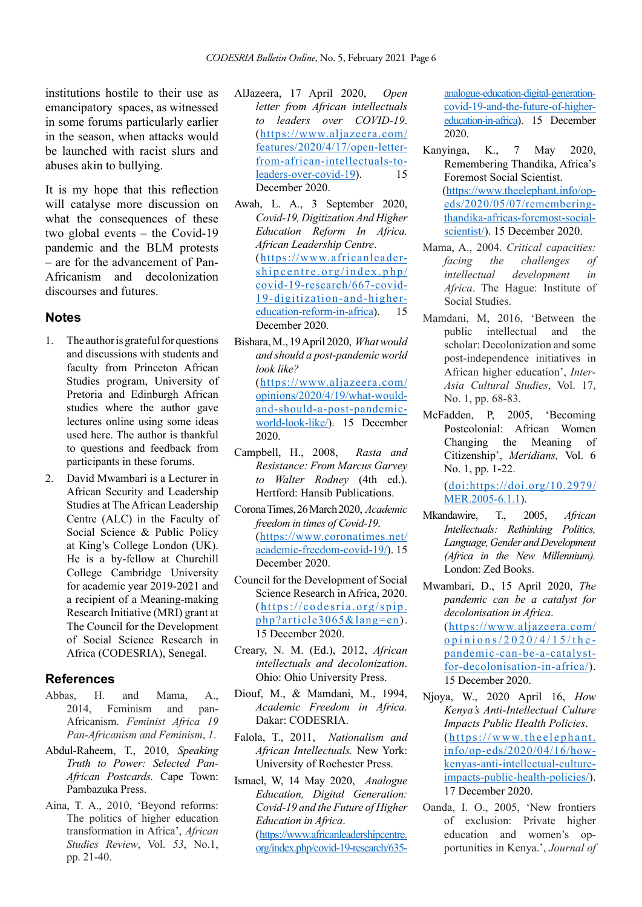institutions hostile to their use as emancipatory spaces, as witnessed in some forums particularly earlier in the season, when attacks would be launched with racist slurs and abuses akin to bullying.

It is my hope that this reflection will catalyse more discussion on what the consequences of these two global events – the Covid-19 pandemic and the BLM protests – are for the advancement of Pan-Africanism and decolonization discourses and futures.

#### **Notes**

- 1. The author is grateful for questions and discussions with students and faculty from Princeton African Studies program, University of Pretoria and Edinburgh African studies where the author gave lectures online using some ideas used here. The author is thankful to questions and feedback from participants in these forums.
- 2. David Mwambari is a Lecturer in African Security and Leadership Studies at The African Leadership Centre (ALC) in the Faculty of Social Science & Public Policy at King's College London (UK). He is a by-fellow at Churchill College Cambridge University for academic year 2019-2021 and a recipient of a Meaning-making Research Initiative (MRI) grant at The Council for the Development of Social Science Research in Africa (CODESRIA), Senegal.

### **References**

- Abbas, H. and Mama, A., 2014, Feminism and pan-Feminism and Africanism. *Feminist Africa 19 Pan-Africanism and Feminism*, *1*.
- Abdul-Raheem, T., 2010, *Speaking Truth to Power: Selected Pan-African Postcards.* Cape Town: Pambazuka Press.
- Aina, T. A., 2010, 'Beyond reforms: The politics of higher education transformation in Africa', *African Studies Review*, Vol. *53*, No.1, pp. 21-40.
- AlJazeera, 17 April 2020, *Open letter from African intellectuals to leaders over COVID-19*. (https://www.aljazeera.com/ features/2020/4/17/open-letterfrom-african-intellectuals-toleaders-over-covid-19). 15 December 2020.
- Awah, L. A., 3 September 2020, *Covid-19, Digitization And Higher Education Reform In Africa. African Leadership Centre*. (https://www.africanleadershipcentre.org/index.php/ covid-19-research/667-covid-19-digitization-and-highereducation-reform-in-africa). 15 December 2020.
- Bishara, M., 19 April 2020, *What would and should a post-pandemic world look like?*  (https://www.aljazeera.com/ opinions/2020/4/19/what-wouldand-should-a-post-pandemicworld-look-like/). 15 December 2020.
- Campbell, H., 2008, *Rasta and Resistance: From Marcus Garvey to Walter Rodney* (4th ed.). Hertford: Hansib Publications.
- Corona Times, 26 March 2020, *Academic freedom in times of Covid-19*. (https://www.coronatimes.net/ academic-freedom-covid-19/). 15 December 2020.
- Council for the Development of Social Science Research in Africa, 2020. (https://codesria.org/spip. php?article3065&lang=en). 15 December 2020.
- Creary, N. M. (Ed.), 2012, *African intellectuals and decolonization*. Ohio: Ohio University Press.
- Diouf, M., & Mamdani, M., 1994, *Academic Freedom in Africa.* Dakar: CODESRIA.
- Falola, T., 2011, *Nationalism and African Intellectuals.* New York: University of Rochester Press.
- Ismael, W, 14 May 2020, *Analogue Education, Digital Generation: Covid-19 and the Future of Higher Education in Africa*. (https://www.africanleadershipcentre. org/index.php/covid-19-research/635-

analogue-education-digital-generationcovid-19-and-the-future-of-highereducation-in-africa). 15 December 2020.

- Kanyinga, K., 7 May 2020, Remembering Thandika, Africa's Foremost Social Scientist. (https://www.theelephant.info/opeds/2020/05/07/rememberingthandika-africas-foremost-socialscientist/). 15 December 2020.
- Mama, A., 2004. *Critical capacities: facing the challenges of intellectual development in Africa*. The Hague: Institute of Social Studies.
- Mamdani, M, 2016, 'Between the public intellectual and the scholar: Decolonization and some post-independence initiatives in African higher education', *Inter-Asia Cultural Studies*, Vol. 17, No. 1, pp. 68-83.
- McFadden, P, 2005, 'Becoming Postcolonial: African Women Changing the Meaning of Citizenship', *Meridians,* Vol. 6 No. 1, pp. 1-22.

(doi:https://doi.org/10.2979/ MER.2005-6.1.1).

- Mkandawire, T., 2005, *African Intellectuals: Rethinking Politics, Language, Gender and Development (Africa in the New Millennium).* London: Zed Books.
- Mwambari, D., 15 April 2020, *The pandemic can be a catalyst for decolonisation in Africa*. (https://www.aljazeera.com/  $opinions/2020/4/15/the$ pandemic-can-be-a-catalystfor-decolonisation-in-africa/). 15 December 2020.
- Njoya, W., 2020 April 16, *How Kenya's Anti-Intellectual Culture Impacts Public Health Policies*. ( https://www.theelephant. info/op-eds/2020/04/16/howkenyas-anti-intellectual-cultureimpacts-public-health-policies/). 17 December 2020.
- Oanda, I. O., 2005, 'New frontiers of exclusion: Private higher education and women's opportunities in Kenya.', *Journal of*